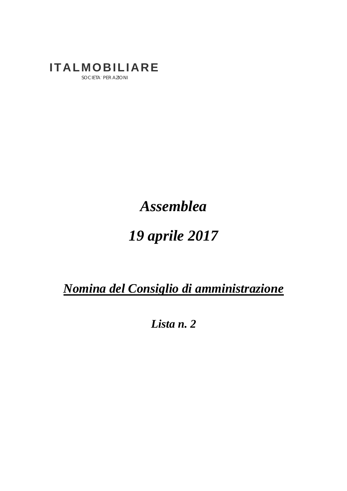## **ITALMOBILIARE**

SOCIETA' PER AZIONI

### *Assemblea*

# *19 aprile 2017*

*Nomina del Consiglio di amministrazione* 

*Lista n. 2*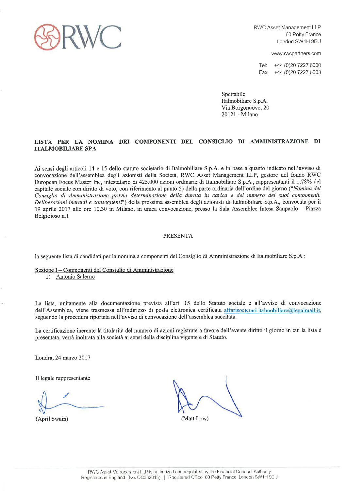

www.rwcpartners.com

Tel: +44 (0) 20 7227 6000 Fax: +44 (0) 20 7227 6003

Spettabile Italmobiliare S.p.A. Via Borgonuovo, 20 20121 - Milano

#### LISTA PER LA NOMINA DEI COMPONENTI DEL CONSIGLIO DI AMMINISTRAZIONE DI **ITALMOBILIARE SPA**

Ai sensi degli articoli 14 e 15 dello statuto societario di Italmobiliare S.p.A. e in base a quanto indicato nell'avviso di convocazione dell'assemblea degli azionisti della Società, RWC Asset Management LLP, gestore del fondo RWC European Focus Master Inc. intestatario di 425,000 azioni ordinarie di Italmobiliare S.p.A., rappresentanti il 1,78% del capitale sociale con diritto di voto, con riferimento al punto 5) della parte ordinaria dell'ordine del giorno ("Nomina del Consiglio di Amministrazione previa determinazione della durata in carica e del numero dei suoi componenti. Deliberazioni inerenti e conseguenti") della prossima assemblea degli azionisti di Italmobiliare S.p.A., convocata per il 19 aprile 2017 alle ore 10.30 in Milano, in unica convocazione, presso la Sala Assemblee Intesa Sanpaolo - Piazza Belgioioso n.1

#### **PRESENTA**

la seguente lista di candidati per la nomina a componenti del Consiglio di Amministrazione di Italmobiliare S.p.A.:

Sezione I - Componenti del Consiglio di Amministrazione

1) Antonio Salerno

La lista, unitamente alla documentazione prevista all'art. 15 dello Statuto sociale e all'avviso di convocazione dell'Assemblea, viene trasmessa all'indirizzo di posta elettronica certificata affarisocietari.italmobiliare@legalmail.it, seguendo la procedura riportata nell'avviso di convocazione dell'assemblea succitata.

La certificazione inerente la titolarità del numero di azioni registrate a favore dell'avente diritto il giorno in cui la lista è presentata, verrà inoltrata alla società ai sensi della disciplina vigente e di Statuto.

Londra, 24 marzo 2017

Il legale rappresentante

(April Swain)

(Matt Low)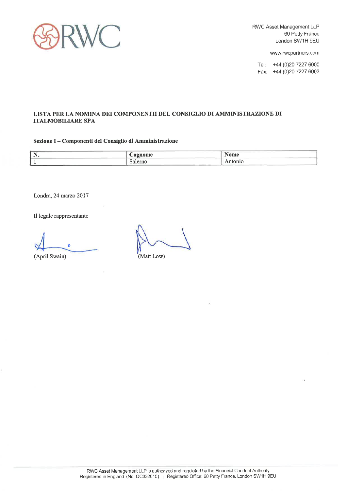

www.rwcpartners.com

Tel: +44 (0)20 7227 6000 Fax: +44 (0)20 7227 6003

#### LISTA PER LA NOMINA DEI COMPONENTII DEL CONSIGLIO DI AMMINISTRAZIONE DI **ITALMOBILIARE SPA**

#### Sezione I - Componenti del Consiglio di Amministrazione

| the property of the company's company's | 'AADAMA |                                                                                                                |
|-----------------------------------------|---------|----------------------------------------------------------------------------------------------------------------|
| the contract of the contract of         |         | the contract of the contract of the contract of<br>the control of the control of the control of the control of |

Londra, 24 marzo 2017

Il legale rappresentante

(April Swain)

(Matt Low)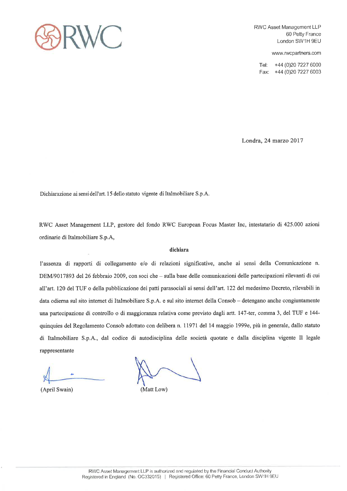

www.rwcpartners.com

+44 (0)20 7227 6000 Tel: Fax: +44 (0)20 7227 6003

Londra, 24 marzo 2017

Dichiarazione ai sensi dell'art. 15 dello statuto vigente di Italmobiliare S.p.A.

RWC Asset Management LLP, gestore del fondo RWC European Focus Master Inc, intestatario di 425.000 azioni ordinarie di Italmobiliare S.p.A,

#### dichiara

l'assenza di rapporti di collegamento e/o di relazioni significative, anche ai sensi della Comunicazione n. DEM/9017893 del 26 febbraio 2009, con soci che – sulla base delle comunicazioni delle partecipazioni rilevanti di cui all'art. 120 del TUF o della pubblicazione dei patti parasociali ai sensi dell'art. 122 del medesimo Decreto, rilevabili in data odierna sul sito internet di Italmobiliare S.p.A. e sul sito internet della Consob - detengano anche congiuntamente una partecipazione di controllo o di maggioranza relativa come previsto dagli artt. 147-ter, comma 3, del TUF e 144quinquies del Regolamento Consob adottato con delibera n. 11971 del 14 maggio 1999e, più in generale, dallo statuto di Italmobiliare S.p.A., dal codice di autodisciplina delle società quotate e dalla disciplina vigente Il legale rappresentante

(April Swain)

(Matt Low)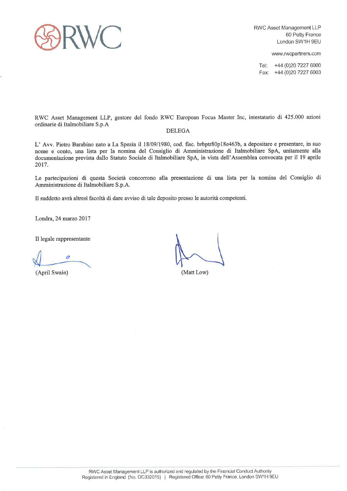

www.rwcpartners.com

Tel: +44 (0)20 7227 6000 Fax: +44 (0)20 7227 6003

RWC Asset Management LLP, gestore del fondo RWC European Focus Master Inc, intestatario di 425.000 azioni ordinarie di Italmobiliare S.p.A

#### **DELEGA**

L' Avv. Pietro Barabino nato a La Spezia il 18/09/1980, cod. fisc. brbptr80p18e463b, a depositare e presentare, in suo nome e conto, una lista per la nomina del Consiglio di Amministrazione di Italmobiliare SpA, unitamente alla documentazione prevista dallo Statuto Sociale di Italmobiliare SpA, in vista dell'Assemblea convocata per il 19 aprile 2017.

Le partecipazioni di questa Società concorrono alla presentazione di una lista per la nomina del Consiglio di Amministrazione di Italmobiliare S.p.A.

Il suddetto avrà altresì facoltà di dare avviso di tale deposito presso le autorità competenti.

Londra, 24 marzo 2017

Il legale rappresentante

0

(April Swain)

(Matt Low)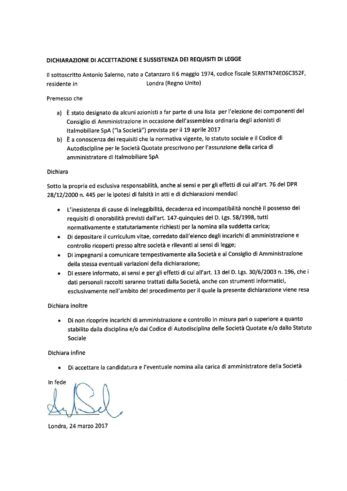### DICHIARAZIONE DI ACCETTAZIONE E SUSSISTENZA DEI REQUISITI DI LEGGE

Il sottoscritto Antonio Salerno, nato a Catanzaro il 6 maggio 1974, codice fiscale SLRNTN74E06C352F, Londra (Regno Unito) residente in

#### Premesso che

- a) È stato designato da alcuni azionisti a far parte di una lista per l'elezione dei componenti del Consiglio di Amministrazione in occasione dell'assemblea ordinaria degli azionisti di Italmobiliare SpA ("la Società") prevista per il 19 aprile 2017
- b) È a conoscenza dei requisiti che la normativa vigente, lo statuto sociale e il Codice di Autodiscipline per le Società Quotate prescrivono per l'assunzione della carica di amministratore di Italmobiliare SpA

#### Dichiara

Sotto la propria ed esclusiva responsabilità, anche ai sensi e per gli effetti di cui all'art. 76 del DPR 28/12/2000 n. 445 per le ipotesi di falsità in atti e di dichiarazioni mendaci

- · L'inesistenza di cause di ineleggibilità, decadenza ed incompatibilità nonchè il possesso dei requisiti di onorabilità previsti dall'art. 147-quinquies del D. Lgs. 58/1998, tutti normativamente e statutariamente richiesti per la nomina alla suddetta carica;
- · Di depositare il curriculum vitae, corredato dall'elenco degli incarichi di amministrazione e controllo ricoperti presso altre società e rilevanti ai sensi di legge;
- Di impegnarsi a comunicare tempestivamente alla Società e al Consiglio di Amministrazione della stessa eventuali variazioni della dichiarazione;
- · Di essere informato, ai sensi e per gli effetti di cui all'art. 13 del D. Lgs. 30/6/2003 n. 196, che i dati personali raccolti saranno trattati dalla Società, anche con strumenti informatici, esclusivamente nell'ambito del procedimento per il quale la presente dichiarazione viene resa

#### Dichiara inoltre

Di non ricoprire incarichi di amministrazione e controllo in misura pari o superiore a quanto stabilito dalla disciplina e/o dal Codice di Autodisciplina delle Società Quotate e/o dallo Statuto Sociale

#### Dichiara infine

Di accettare la candidatura e l'eventuale nomina alla carica di amministratore della Società  $\bullet$ 

In fede

Londra, 24 marzo 2017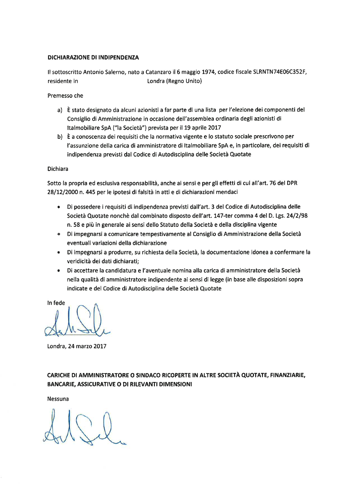#### DICHIARAZIONE DI INDIPENDENZA

Il sottoscritto Antonio Salerno, nato a Catanzaro il 6 maggio 1974, codice fiscale SLRNTN74E06C352F, residente in Londra (Regno Unito)

Premesso che

- a) È stato designato da alcuni azionisti a far parte di una lista per l'elezione dei componenti del Consiglio di Amministrazione in occasione dell'assemblea ordinaria degli azionisti di Italmobiliare SpA ("la Società") prevista per il 19 aprile 2017
- b) È a conoscenza dei requisiti che la normativa vigente e lo statuto sociale prescrivono per l'assunzione della carica di amministratore di Italmobiliare SpA e, in particolare, dei requisiti di indipendenza previsti dal Codice di Autodisciplina delle Società Quotate

#### **Dichiara**

Sotto la propria ed esclusiva responsabilità, anche ai sensi e per gli effetti di cui all'art. 76 del DPR 28/12/2000 n. 445 per le ipotesi di falsità in atti e di dichiarazioni mendaci

- · Di possedere i requisiti di indipendenza previsti dall'art. 3 del Codice di Autodisciplina delle Società Quotate nonchè dal combinato disposto dell'art. 147-ter comma 4 del D. Lgs. 24/2/98 n. 58 e più in generale ai sensi dello Statuto della Società e della disciplina vigente
- · Di impegnarsi a comunicare tempestivamente al Consiglio di Amministrazione della Società eventuali variazioni della dichiarazione
- · Di impegnarsi a produrre, su richiesta della Società, la documentazione idonea a confermare la veridicità dei dati dichiarati;
- · Di accettare la candidatura e l'aventuale nomina alla carica di amministratore della Società nella qualità di amministratore indipendente ai sensi di legge (in base alle disposizioni sopra indicate e del Codice di Autodisciplina delle Società Quotate

In fede

Londra, 24 marzo 2017

CARICHE DI AMMINISTRATORE O SINDACO RICOPERTE IN ALTRE SOCIETÀ QUOTATE, FINANZIARIE, **BANCARIE, ASSICURATIVE O DI RILEVANTI DIMENSIONI** 

Nessuna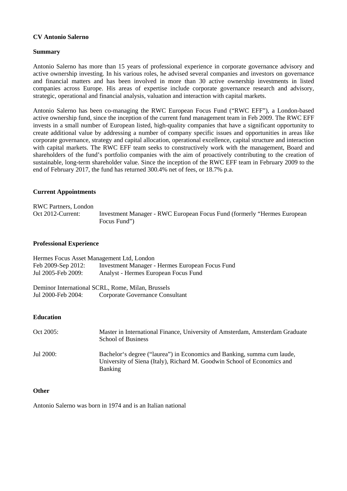#### **CV Antonio Salerno**

#### **Summary**

Antonio Salerno has more than 15 years of professional experience in corporate governance advisory and active ownership investing. In his various roles, he advised several companies and investors on governance and financial matters and has been involved in more than 30 active ownership investments in listed companies across Europe. His areas of expertise include corporate governance research and advisory, strategic, operational and financial analysis, valuation and interaction with capital markets.

Antonio Salerno has been co-managing the RWC European Focus Fund ("RWC EFF"), a London-based active ownership fund, since the inception of the current fund management team in Feb 2009. The RWC EFF invests in a small number of European listed, high-quality companies that have a significant opportunity to create additional value by addressing a number of company specific issues and opportunities in areas like corporate governance, strategy and capital allocation, operational excellence, capital structure and interaction with capital markets. The RWC EFF team seeks to constructively work with the management, Board and shareholders of the fund's portfolio companies with the aim of proactively contributing to the creation of sustainable, long-term shareholder value. Since the inception of the RWC EFF team in February 2009 to the end of February 2017, the fund has returned 300.4% net of fees, or 18.7% p.a.

#### **Current Appointments**

RWC Partners, London Oct 2012-Current: Investment Manager - RWC European Focus Fund (formerly "Hermes European Focus Fund")

#### **Professional Experience**

| Hermes Focus Asset Management Ltd, London |                                                 |  |  |  |
|-------------------------------------------|-------------------------------------------------|--|--|--|
| Feb 2009-Sep 2012:                        | Investment Manager - Hermes European Focus Fund |  |  |  |
| Jul 2005-Feb 2009:                        | Analyst - Hermes European Focus Fund            |  |  |  |

Deminor International SCRL, Rome, Milan, Brussels Jul 2000-Feb 2004: Corporate Governance Consultant

#### **Education**

| Oct 2005: | Master in International Finance, University of Amsterdam, Amsterdam Graduate<br><b>School of Business</b>                                                            |
|-----------|----------------------------------------------------------------------------------------------------------------------------------------------------------------------|
| Jul 2000: | Bachelor's degree ("laurea") in Economics and Banking, summa cum laude,<br>University of Siena (Italy), Richard M. Goodwin School of Economics and<br><b>Banking</b> |

#### **Other**

Antonio Salerno was born in 1974 and is an Italian national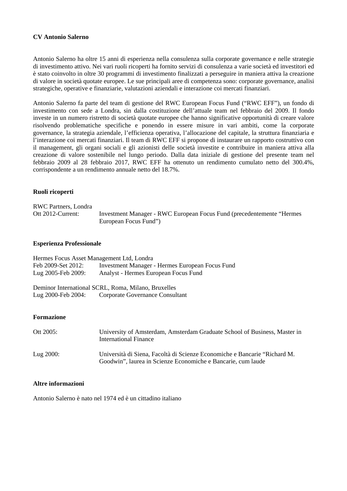#### **CV Antonio Salerno**

Antonio Salerno ha oltre 15 anni di esperienza nella consulenza sulla corporate governance e nelle strategie di investimento attivo. Nei vari ruoli ricoperti ha fornito servizi di consulenza a varie società ed investitori ed è stato coinvolto in oltre 30 programmi di investimento finalizzati a perseguire in maniera attiva la creazione di valore in società quotate europee. Le sue principali aree di competenza sono: corporate governance, analisi strategiche, operative e finanziarie, valutazioni aziendali e interazione coi mercati finanziari.

Antonio Salerno fa parte del team di gestione del RWC European Focus Fund ("RWC EFF"), un fondo di investimento con sede a Londra, sin dalla costituzione dell'attuale team nel febbraio del 2009. Il fondo investe in un numero ristretto di società quotate europee che hanno significative opportunità di creare valore risolvendo problematiche specifiche e ponendo in essere misure in vari ambiti, come la corporate governance, la strategia aziendale, l'efficienza operativa, l'allocazione del capitale, la struttura finanziaria e l'interazione coi mercati finanziari. Il team di RWC EFF si propone di instaurare un rapporto costruttivo con il management, gli organi sociali e gli azionisti delle società investite e contribuire in maniera attiva alla creazione di valore sostenibile nel lungo periodo. Dalla data iniziale di gestione del presente team nel febbraio 2009 al 28 febbraio 2017, RWC EFF ha ottenuto un rendimento cumulato netto del 300.4%, corrispondente a un rendimento annuale netto del 18.7%.

#### **Ruoli ricoperti**

| <b>RWC Partners, Londra</b> |                                                                        |
|-----------------------------|------------------------------------------------------------------------|
| Ott 2012-Current:           | Investment Manager - RWC European Focus Fund (precedentemente "Hermes" |
|                             | European Focus Fund")                                                  |

#### **Esperienza Professionale**

| Hermes Focus Asset Management Ltd, Londra |                                                 |  |  |  |
|-------------------------------------------|-------------------------------------------------|--|--|--|
| Feb 2009-Set 2012:                        | Investment Manager - Hermes European Focus Fund |  |  |  |
| Lug 2005-Feb 2009:                        | Analyst - Hermes European Focus Fund            |  |  |  |

Deminor International SCRL, Roma, Milano, Bruxelles Lug 2000-Feb 2004: Corporate Governance Consultant

#### **Formazione**

| Ott 2005:    | University of Amsterdam, Amsterdam Graduate School of Business, Master in<br><b>International Finance</b>                                 |
|--------------|-------------------------------------------------------------------------------------------------------------------------------------------|
| Lug $2000$ : | Università di Siena, Facoltà di Scienze Economiche e Bancarie "Richard M.<br>Goodwin", laurea in Scienze Economiche e Bancarie, cum laude |

#### **Altre informazioni**

Antonio Salerno è nato nel 1974 ed è un cittadino italiano